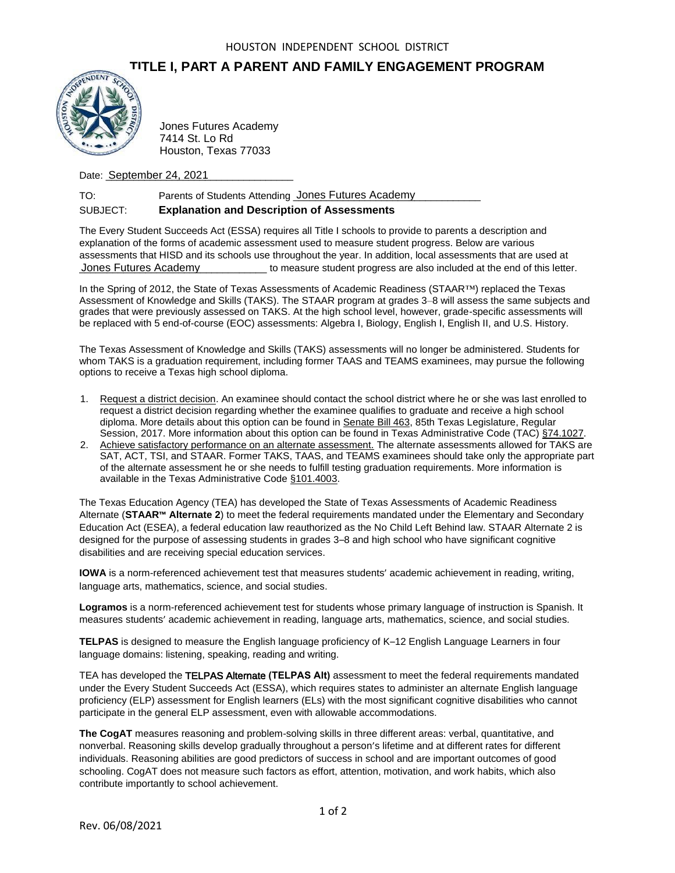## **TITLE I, PART A PARENT AND FAMILY ENGAGEMENT PROGRAM**



7414 St. Lo Rd Houston, Texas 77033

Date: **September 24, 2021** 

| TO:      | Parents of Students Attending Jones Futures Academy |
|----------|-----------------------------------------------------|
| SUBJECT: | <b>Explanation and Description of Assessments</b>   |

The Every Student Succeeds Act (ESSA) requires all Title I schools to provide to parents a description and explanation of the forms of academic assessment used to measure student progress. Below are various assessments that HISD and its schools use throughout the year. In addition, local assessments that are used at \_\_\_\_\_\_\_\_\_\_\_\_\_\_\_\_\_\_\_\_\_\_\_\_\_\_\_\_\_\_\_\_\_\_ to measure student progress are also included at the end of this letter. Jones Futures Academy

In the Spring of 2012, the State of Texas Assessments of Academic Readiness (STAAR™) replaced the Texas Assessment of Knowledge and Skills (TAKS). The STAAR program at grades 3–8 will assess the same subjects and grades that were previously assessed on TAKS. At the high school level, however, grade-specific assessments will be replaced with 5 end-of-course (EOC) assessments: Algebra I, Biology, English I, English II, and U.S. History.

The Texas Assessment of Knowledge and Skills (TAKS) assessments will no longer be administered. Students for whom TAKS is a graduation requirement, including former TAAS and TEAMS examinees, may pursue the following options to receive a Texas high school diploma.

- 1. Request a district decision. An examinee should contact the school district where he or she was last enrolled to request a district decision regarding whether the examinee qualifies to graduate and receive a high school diploma. More details about this option can be found in Senate Bill 463, 85th Texas Legislature, Regular Session, 2017. More information about this option can be found in Texas Administrative Code (TAC) §74.1027.
- 2. Achieve satisfactory performance on an alternate assessment. The alternate assessments allowed for TAKS are SAT, ACT, TSI, and STAAR. Former TAKS, TAAS, and TEAMS examinees should take only the appropriate part of the alternate assessment he or she needs to fulfill testing graduation requirements. More information is available in the Texas Administrative Code §101.4003.

The Texas Education Agency (TEA) has developed the State of Texas Assessments of Academic Readiness Alternate (**STAAR™ Alternate 2**) to meet the federal requirements mandated under the Elementary and Secondary Education Act (ESEA), a federal education law reauthorized as the No Child Left Behind law. STAAR Alternate 2 is designed for the purpose of assessing students in grades 3–8 and high school who have significant cognitive disabilities and are receiving special education services. Frankright and Strutes Academy<br>
T414 St. Lo Rd<br>
Houston, Texas 77033<br>
Date: <u>September 24, 2021</u><br>
TO: Parents of Students Attendia<br>
SUBJECT: **Explanation and Descri**<br>
The Every Student Succeeds Act (ESSA) requ<br>
explanation

**IOWA** is a norm-referenced achievement test that measures students' academic achievement in reading, writing, language arts, mathematics, science, and social studies.

**Logramos** is a norm-referenced achievement test for students whose primary language of instruction is Spanish. It measures students' academic achievement in reading, language arts, mathematics, science, and social studies.

**TELPAS** is designed to measure the English language proficiency of K–12 English Language Learners in four language domains: listening, speaking, reading and writing.

TEA has developed the TELPAS Alternate **(TELPAS Alt)** assessment to meet the federal requirements mandated under the Every Student Succeeds Act (ESSA), which requires states to administer an alternate English language proficiency (ELP) assessment for English learners (ELs) with the most significant cognitive disabilities who cannot participate in the general ELP assessment, even with allowable accommodations.

**The CogAT** measures reasoning and problem-solving skills in three different areas: verbal, quantitative, and nonverbal. Reasoning skills develop gradually throughout a person's lifetime and at different rates for different individuals. Reasoning abilities are good predictors of success in school and are important outcomes of good schooling. CogAT does not measure such factors as effort, attention, motivation, and work habits, which also contribute importantly to school achievement.